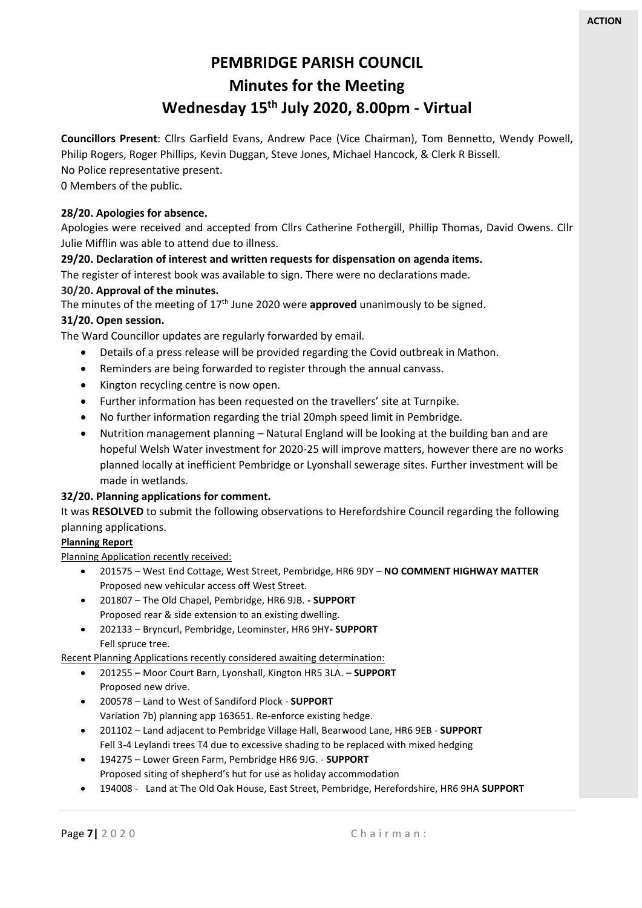# **PEMBRIDGE PARISH COUNCIL Minutes for the Meeting Wednesday 15 th July 2020, 8.00pm - Virtual**

**Councillors Present**: Cllrs Garfield Evans, Andrew Pace (Vice Chairman), Tom Bennetto, Wendy Powell, Philip Rogers, Roger Phillips, Kevin Duggan, Steve Jones, Michael Hancock, & Clerk R Bissell. No Police representative present.

0 Members of the public.

# **28/20. Apologies for absence.**

Apologies were received and accepted from Cllrs Catherine Fothergill, Phillip Thomas, David Owens. Cllr Julie Mifflin was able to attend due to illness.

# **29/20. Declaration of interest and written requests for dispensation on agenda items.**

The register of interest book was available to sign. There were no declarations made.

# **30/20. Approval of the minutes.**

The minutes of the meeting of 17th June 2020 were **approved** unanimously to be signed.

# **31/20. Open session.**

The Ward Councillor updates are regularly forwarded by email.

- Details of a press release will be provided regarding the Covid outbreak in Mathon.
- Reminders are being forwarded to register through the annual canvass.
- Kington recycling centre is now open.
- Further information has been requested on the travellers' site at Turnpike.
- No further information regarding the trial 20mph speed limit in Pembridge.
- Nutrition management planning Natural England will be looking at the building ban and are hopeful Welsh Water investment for 2020-25 will improve matters, however there are no works planned locally at inefficient Pembridge or Lyonshall sewerage sites. Further investment will be made in wetlands.

# **32/20. Planning applications for comment.**

It was **RESOLVED** to submit the following observations to Herefordshire Council regarding the following planning applications.

#### **Planning Report**

Planning Application recently received:

- 201575 West End Cottage, West Street, Pembridge, HR6 9DY **NO COMMENT HIGHWAY MATTER** Proposed new vehicular access off West Street.
- 201807 The Old Chapel, Pembridge, HR6 9JB. **- SUPPORT** Proposed rear & side extension to an existing dwelling.
- 202133 Bryncurl, Pembridge, Leominster, HR6 9HY**- SUPPORT** Fell spruce tree.

Recent Planning Applications recently considered awaiting determination:

- 201255 Moor Court Barn, Lyonshall, Kington HR5 3LA. **SUPPORT**  Proposed new drive.
- 200578 Land to West of Sandiford Plock **SUPPORT** Variation 7b) planning app 163651. Re-enforce existing hedge.
- 201102 Land adjacent to Pembridge Village Hall, Bearwood Lane, HR6 9EB **SUPPORT** Fell 3-4 Leylandi trees T4 due to excessive shading to be replaced with mixed hedging
- 194275 Lower Green Farm, Pembridge HR6 9JG. **SUPPORT** Proposed siting of shepherd's hut for use as holiday accommodation
- 194008 Land at The Old Oak House, East Street, Pembridge, Herefordshire, HR6 9HA **SUPPORT**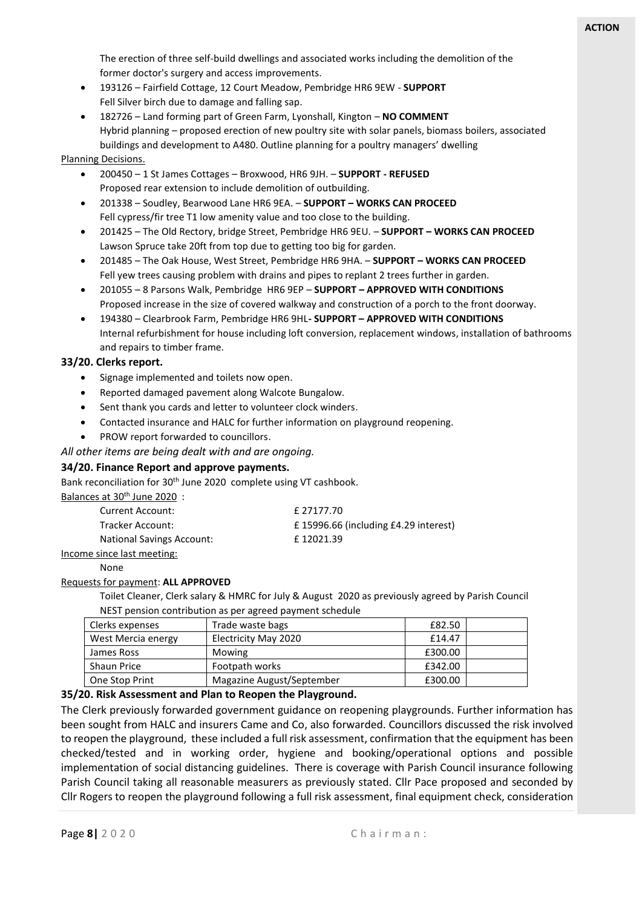The erection of three self-build dwellings and associated works including the demolition of the former doctor's surgery and access improvements.

- 193126 Fairfield Cottage, 12 Court Meadow, Pembridge HR6 9EW **SUPPORT** Fell Silver birch due to damage and falling sap.
- 182726 Land forming part of Green Farm, Lyonshall, Kington **NO COMMENT** Hybrid planning – proposed erection of new poultry site with solar panels, biomass boilers, associated buildings and development to A480. Outline planning for a poultry managers' dwelling

#### Planning Decisions.

- 200450 1 St James Cottages Broxwood, HR6 9JH. **SUPPORT - REFUSED** Proposed rear extension to include demolition of outbuilding.
- 201338 Soudley, Bearwood Lane HR6 9EA. **SUPPORT – WORKS CAN PROCEED** Fell cypress/fir tree T1 low amenity value and too close to the building.
- 201425 The Old Rectory, bridge Street, Pembridge HR6 9EU. **SUPPORT – WORKS CAN PROCEED** Lawson Spruce take 20ft from top due to getting too big for garden.
- 201485 The Oak House, West Street, Pembridge HR6 9HA. **SUPPORT – WORKS CAN PROCEED** Fell yew trees causing problem with drains and pipes to replant 2 trees further in garden.
- 201055 8 Parsons Walk, Pembridge HR6 9EP **SUPPORT – APPROVED WITH CONDITIONS** Proposed increase in the size of covered walkway and construction of a porch to the front doorway.
- 194380 Clearbrook Farm, Pembridge HR6 9HL**- SUPPORT – APPROVED WITH CONDITIONS** Internal refurbishment for house including loft conversion, replacement windows, installation of bathrooms and repairs to timber frame.

# **33/20. Clerks report.**

- Signage implemented and toilets now open.
- Reported damaged pavement along Walcote Bungalow.
- Sent thank you cards and letter to volunteer clock winders.
- Contacted insurance and HALC for further information on playground reopening.
- PROW report forwarded to councillors.
- *All other items are being dealt with and are ongoing.*

#### **34/20. Finance Report and approve payments.**

Bank reconciliation for 30<sup>th</sup> June 2020 complete using VT cashbook.

Balances at 30<sup>th</sup> June 2020 :

| Current Account:                 | £ 27177.70                           |
|----------------------------------|--------------------------------------|
| Tracker Account:                 | £15996.66 (including £4.29 interest) |
| <b>National Savings Account:</b> | £12021.39                            |

#### Income since last meeting:

None

#### Requests for payment: **ALL APPROVED**

Toilet Cleaner, Clerk salary & HMRC for July & August 2020 as previously agreed by Parish Council NEST pension contribution as per agreed payment schedule

| Clerks expenses    | Trade waste bags          | £82.50  |  |
|--------------------|---------------------------|---------|--|
| West Mercia energy | Electricity May 2020      | £14.47  |  |
| James Ross         | Mowing                    | £300.00 |  |
| <b>Shaun Price</b> | Footpath works            | £342.00 |  |
| One Stop Print     | Magazine August/September | £300.00 |  |

#### **35/20. Risk Assessment and Plan to Reopen the Playground.**

The Clerk previously forwarded government guidance on reopening playgrounds. Further information has been sought from HALC and insurers Came and Co, also forwarded. Councillors discussed the risk involved to reopen the playground, these included a full risk assessment, confirmation that the equipment has been checked/tested and in working order, hygiene and booking/operational options and possible implementation of social distancing guidelines. There is coverage with Parish Council insurance following Parish Council taking all reasonable measurers as previously stated. Cllr Pace proposed and seconded by Cllr Rogers to reopen the playground following a full risk assessment, final equipment check, consideration